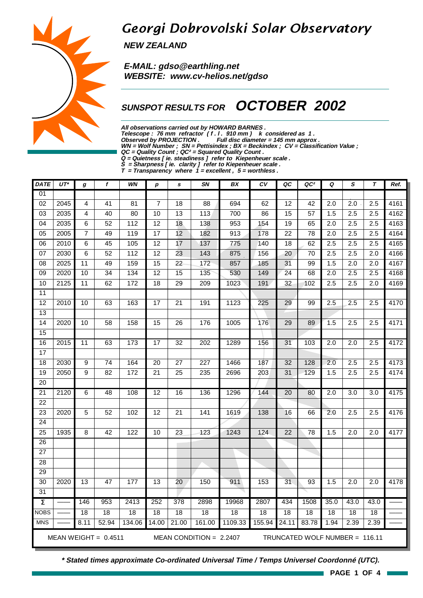# Georgi Dobrovolski Solar Observatory

**NEW ZEALAND**

 **E-MAIL: gdso@earthling.net WEBSITE: www.cv-helios.net/gdso**

## **SUNSPOT RESULTS FOR OCTOBER 2002**

**All observations carried out by HOWARD BARNES .**

Telescope : 76 mm refractor (f. l. 910 mm) k considered as 1.

**Observed by PROJECTION . Full disc diameter = 145 mm approx .**

**WN = Wolf Number ; SN = Pettisindex ; BX = Beckindex ; CV = Classification Value ;**

**QC = Quality Count ; QC² = Squared Quality Count . Q = Quietness [ ie. steadiness ] refer to Kiepenheuer scale .**

**S = Sharpness [ ie. clarity ] refer to Kiepenheuer scale .**

**T = Transparency where 1 = excellent , 5 = worthless .**

| <b>DATE</b>         | $UT^*$ | g               | f                      | WN              | $\boldsymbol{p}$ | $\mathbf{s}$    | SN                        | BX              | CV              | QC              | QC <sup>2</sup>                | Q                | S                | $\tau$           | Ref. |
|---------------------|--------|-----------------|------------------------|-----------------|------------------|-----------------|---------------------------|-----------------|-----------------|-----------------|--------------------------------|------------------|------------------|------------------|------|
| 01                  |        |                 |                        |                 |                  |                 |                           |                 |                 |                 |                                |                  |                  |                  |      |
| $\overline{02}$     | 2045   | 4               | $\overline{41}$        | $\overline{81}$ | $\overline{7}$   | $\overline{18}$ | $\overline{88}$           | 694             | 62              | 12              | $\overline{42}$                | $\overline{2.0}$ | $\overline{2.0}$ | 2.5              | 4161 |
| $\overline{03}$     | 2035   | 4               | 40                     | 80              | 10               | $\overline{13}$ | 113                       | 700             | 86              | $\overline{15}$ | $\overline{57}$                | 1.5              | 2.5              | 2.5              | 4162 |
| 04                  | 2035   | 6               | 52                     | 112             | 12               | 18              | 138                       | 953             | 154             | 19              | 65                             | 2.0              | 2.5              | 2.5              | 4163 |
| 05                  | 2005   | $\overline{7}$  | 49                     | 119             | $\overline{17}$  | 12              | 182                       | 913             | 178             | $\overline{22}$ | 78                             | 2.0              | 2.5              | 2.5              | 4164 |
| 06                  | 2010   | 6               | 45                     | 105             | 12               | 17              | 137                       | 775             | 140             | 18              | 62                             | 2.5              | 2.5              | 2.5              | 4165 |
| 07                  | 2030   | 6               | 52                     | 112             | $\overline{12}$  | 23              | 143                       | 875             | 156             | 20              | 70                             | $\overline{2.5}$ | 2.5              | 2.0              | 4166 |
| $\overline{08}$     | 2025   | $\overline{11}$ | 49                     | 159             | 15               | $\overline{22}$ | 172                       | 857             | 185             | $\overline{31}$ | 99                             | 1.5              | 2.0              | $\overline{2.0}$ | 4167 |
| $\overline{09}$     | 2020   | 10              | $\overline{34}$        | 134             | $\overline{12}$  | $\overline{15}$ | 135                       | 530             | 149             | $\overline{24}$ | 68                             | $\overline{2.0}$ | 2.5              | $\overline{2.5}$ | 4168 |
| 10                  | 2125   | 11              | 62                     | 172             | 18               | 29              | 209                       | 1023            | 191             | 32              | 102                            | 2.5              | 2.5              | 2.0              | 4169 |
| $\overline{11}$     |        |                 |                        |                 |                  |                 |                           |                 |                 |                 |                                |                  |                  |                  |      |
| $\overline{12}$     | 2010   | 10              | 63                     | 163             | $\overline{17}$  | $\overline{21}$ | 191                       | 1123            | 225             | 29              | 99                             | 2.5              | $\overline{2.5}$ | $\overline{2.5}$ | 4170 |
| 13                  |        |                 |                        |                 |                  |                 |                           |                 |                 |                 |                                |                  |                  |                  |      |
| 14                  | 2020   | 10              | $\overline{58}$        | 158             | $\overline{15}$  | 26              | 176                       | 1005            | 176             | 29              | 89                             | 1.5              | 2.5              | 2.5              | 4171 |
| 15                  |        |                 |                        |                 |                  |                 |                           |                 |                 |                 |                                |                  |                  |                  |      |
| 16                  | 2015   | 11              | 63                     | 173             | 17               | $\overline{32}$ | 202                       | 1289            | 156             | $\overline{31}$ | 103                            | 2.0              | 2.0              | 2.5              | 4172 |
| 17                  |        |                 |                        |                 |                  |                 |                           |                 |                 |                 |                                |                  |                  |                  |      |
| 18                  | 2030   | 9               | $\overline{74}$        | 164             | 20               | 27              | 227                       | 1466            | 187             | 32              | 128                            | 2.0              | 2.5              | 2.5              | 4173 |
| $\overline{19}$     | 2050   | $\overline{9}$  | $\overline{82}$        | 172             | $\overline{21}$  | $\overline{25}$ | 235                       | 2696            | 203             | 31              | 129                            | 1.5              | 2.5              | 2.5              | 4174 |
| $\overline{20}$     |        |                 |                        |                 |                  |                 |                           |                 |                 |                 |                                |                  |                  |                  |      |
| 21                  | 2120   | 6               | $\overline{48}$        | 108             | $\overline{12}$  | $\overline{16}$ | 136                       | 1296            | 144             | 20              | 80                             | 2.0              | 3.0              | 3.0              | 4175 |
| 22                  |        |                 |                        |                 |                  |                 |                           |                 |                 |                 |                                |                  |                  |                  |      |
| $\overline{23}$     | 2020   | 5               | 52                     | 102             | $\overline{12}$  | $\overline{21}$ | 141                       | 1619            | 138             | 16              | 66                             | 2.0              | 2.5              | 2.5              | 4176 |
| $\overline{24}$     |        |                 |                        |                 |                  |                 |                           |                 |                 |                 |                                |                  |                  |                  |      |
| 25                  | 1935   | 8               | $\overline{42}$        | 122             | 10               | $\overline{23}$ | 123                       | 1243            | 124             | 22              | 78                             | 1.5              | 2.0              | 2.0              | 4177 |
| 26                  |        |                 |                        |                 |                  | n.              |                           |                 |                 |                 |                                |                  |                  |                  |      |
| 27                  |        |                 |                        |                 |                  |                 |                           |                 |                 |                 |                                |                  |                  |                  |      |
| $\overline{28}$     |        |                 |                        |                 |                  |                 |                           |                 |                 |                 |                                |                  |                  |                  |      |
| 29                  |        |                 |                        |                 |                  |                 |                           |                 |                 |                 |                                |                  |                  |                  |      |
| $\overline{30}$     | 2020   | $\overline{13}$ | 47                     | 177             | $\overline{13}$  | 20              | 150                       | 911             | 153             | 31              | $\overline{93}$                | 1.5              | $\overline{2.0}$ | $\overline{2.0}$ | 4178 |
| $\overline{31}$     |        |                 |                        |                 |                  |                 |                           |                 |                 |                 |                                |                  |                  |                  |      |
| $\overline{\Sigma}$ |        | 146             | 953                    | 2413            | 252              | 378             | 2898                      | 19968           | 2807            | 434             | 1508                           | 35.0             | 43.0             | 43.0             |      |
| <b>NOBS</b>         |        | $\overline{18}$ | $\overline{18}$        | $\overline{18}$ | $\overline{18}$  | 18              | $\overline{18}$           | $\overline{18}$ | $\overline{18}$ | $\overline{18}$ | $\overline{18}$                | $\overline{18}$  | $\overline{18}$  | $\overline{18}$  |      |
| <b>MNS</b>          |        | 8.11            | 52.94                  | 134.06          | 14.00            | 21.00           | 161.00                    | 1109.33         | 155.94          | 24.11           | 83.78                          | 1.94             | 2.39             | 2.39             |      |
|                     |        |                 | MEAN WEIGHT = $0.4511$ |                 |                  |                 | MEAN CONDITION = $2.2407$ |                 |                 |                 | TRUNCATED WOLF NUMBER = 116.11 |                  |                  |                  |      |



**\* Stated times approximate Co-ordinated Universal Time / Temps Universel Coordonné (UTC).**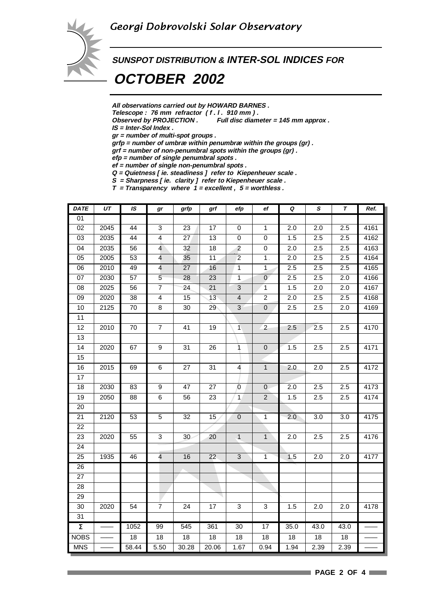

**SUNSPOT DISTRIBUTION & INTER-SOL INDICES FOR**

 **OCTOBER 2002**

**All observations carried out by HOWARD BARNES .**

Telescope : 76 mm refractor (f. l. 910 mm).<br>Observed by PROJECTION . Full disc diam

Full disc diameter = 145 mm approx .

**IS = Inter-Sol Index .**

**gr = number of multi-spot groups .**

**grfp = number of umbræ within penumbræ within the groups (gr) .**

**grf = number of non-penumbral spots within the groups (gr) .**

**efp = number of single penumbral spots .**

**ef = number of single non-penumbral spots . Q = Quietness [ ie. steadiness ] refer to Kiepenheuer scale .**

**S = Sharpness [ ie. clarity ] refer to Kiepenheuer scale .**

**T = Transparency where 1 = excellent , 5 = worthless .**

| <b>DATE</b>         | UΤ   | IS              | gr                      | grfp            | grf             | efp                     | ef             | Q                | $\pmb S$         | T                | Ref.             |
|---------------------|------|-----------------|-------------------------|-----------------|-----------------|-------------------------|----------------|------------------|------------------|------------------|------------------|
| 01                  |      |                 |                         |                 |                 |                         |                |                  |                  |                  |                  |
| $\overline{02}$     | 2045 | $\overline{44}$ | $\overline{3}$          | 23              | $\overline{17}$ | 0                       | $\overline{1}$ | 2.0              | $\overline{2.0}$ | 2.5              | 4161             |
| 03                  | 2035 | 44              | $\overline{4}$          | 27              | 13              | 0                       | $\pmb{0}$      | 1.5              | 2.5              | 2.5              | 4162             |
| $\overline{04}$     | 2035 | $\overline{56}$ | $\overline{4}$          | 32              | 18              | $\overline{2}$          | $\overline{0}$ | $\overline{2.0}$ | 2.5              | 2.5              | 4163             |
| $\overline{05}$     | 2005 | $\overline{53}$ | $\overline{\mathbf{4}}$ | 35              | $\overline{11}$ | $\overline{2}$          | $1$ .          | 2.0              | 2.5              | 2.5              | 4164             |
| 06                  | 2010 | 49              | $\overline{4}$          | 27              | 16              | $\mathbf 1$             | 1              | 2.5              | 2.5              | 2.5              | 4165             |
| $\overline{07}$     | 2030 | $\overline{57}$ | $\overline{5}$          | 28              | $\overline{23}$ | $\overline{1}$          | $\overline{0}$ | 2.5              | 2.5              | 2.0              | 4166             |
| $\overline{08}$     | 2025 | 56              | $\overline{7}$          | $\overline{24}$ | $\overline{21}$ | $\overline{3}$          | $\overline{1}$ | 1.5              | 2.0              | 2.0              | 4167             |
| 09                  | 2020 | 38              | 4                       | 15              | 13              | $\overline{\mathbf{4}}$ | $\overline{2}$ | 2.0              | 2.5              | 2.5              | 4168             |
| $\overline{10}$     | 2125 | $\overline{70}$ | $\overline{8}$          | $\overline{30}$ | 29              | $\overline{3}$          | $\overline{0}$ | 2.5              | 2.5              | $\overline{2.0}$ | 4169             |
| 11                  |      |                 |                         |                 |                 |                         |                |                  |                  |                  |                  |
| $\overline{12}$     | 2010 | 70              | $\overline{7}$          | $\overline{41}$ | $\overline{19}$ | $\overline{1}$          | $\overline{2}$ | 2.5              | 2.5              | 2.5              | 4170             |
| $\overline{13}$     |      |                 |                         |                 |                 |                         |                |                  |                  |                  |                  |
| 14                  | 2020 | 67              | $\boldsymbol{9}$        | 31              | 26              | $\mathbf{1}$            | $\pmb{0}$      | 1.5              | 2.5              | 2.5              | 4171             |
| 15                  |      |                 |                         |                 |                 |                         |                |                  |                  |                  |                  |
| 16                  | 2015 | 69              | $\overline{6}$          | $\overline{27}$ | 31              | $\overline{4}$          | $\overline{1}$ | 2.0              | 2.0              | 2.5              | 4172             |
| 17                  |      |                 |                         |                 |                 |                         |                |                  |                  |                  |                  |
| $\overline{18}$     | 2030 | 83              | $\overline{9}$          | 47              | 27              | $\overline{0}$          | $\pmb{0}$      | 2.0              | 2.5              | 2.5              | $\frac{1}{4173}$ |
| $\overline{19}$     | 2050 | $\overline{88}$ | $6\overline{6}$         | 56              | $\overline{23}$ | $\overline{1}$          | $\overline{2}$ | 1.5              | 2.5              | $\overline{2.5}$ | 4174             |
| 20                  |      |                 |                         |                 |                 |                         |                |                  |                  |                  |                  |
| 21                  | 2120 | 53              | 5                       | 32              | 15              | $\pmb{0}$               | 1              | 2.0              | 3.0              | 3.0              | 4175             |
| 22                  |      |                 |                         |                 |                 |                         |                |                  |                  |                  |                  |
| 23                  | 2020 | 55              | 3                       | 30              | 20              | $\mathbf{1}$            | $\mathbf{1}$   | 2.0              | 2.5              | 2.5              | 4176             |
| $\overline{24}$     |      |                 |                         |                 |                 |                         |                |                  |                  |                  |                  |
| 25                  | 1935 | 46              | $\overline{\mathbf{4}}$ | 16              | 22              | $\sqrt{3}$              | 1              | 1.5              | 2.0              | 2.0              | 4177             |
| $\overline{26}$     |      |                 |                         |                 |                 |                         |                |                  |                  |                  |                  |
| $\overline{27}$     |      |                 |                         |                 |                 |                         |                |                  |                  |                  |                  |
| 28                  |      |                 |                         |                 |                 |                         |                |                  |                  |                  |                  |
| 29                  |      |                 |                         |                 |                 |                         |                |                  |                  |                  |                  |
| $\overline{30}$     | 2020 | $\overline{54}$ | $\overline{7}$          | $\overline{24}$ | $\overline{17}$ | $\overline{3}$          | $\overline{3}$ | 1.5              | $\overline{2.0}$ | $\overline{2.0}$ | 4178             |
| 31                  |      |                 |                         |                 |                 |                         |                |                  |                  |                  |                  |
| $\overline{\Sigma}$ |      | 1052            | 99                      | 545             | 361             | 30                      | 17             | 35.0             | 43.0             | 43.0             |                  |
| <b>NOBS</b>         |      | 18              | 18                      | $\overline{18}$ | $\overline{18}$ | $\overline{18}$         | 18             | $\overline{18}$  | 18               | 18               |                  |
| <b>MNS</b>          |      | 58.44           | 5.50                    | 30.28           | 20.06           | 1.67                    | 0.94           | 1.94             | 2.39             | 2.39             |                  |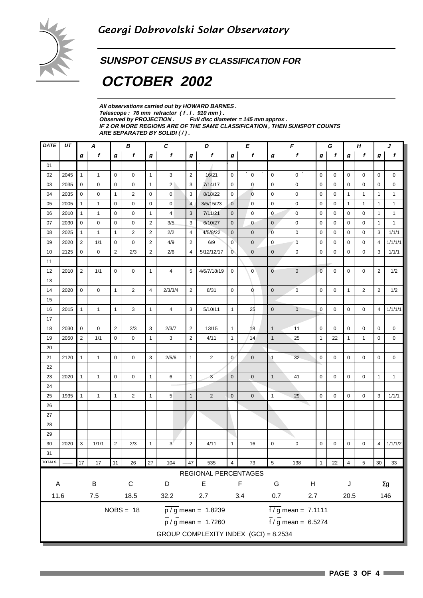

#### **SUNSPOT CENSUS BY CLASSIFICATION FOR**

# **OCTOBER 2002**

**All observations carried out by HOWARD BARNES .** Telescope : 76 mm refractor (f. l. 910 mm).<br>Observed by PROJECTION . Full disc dian Full disc diameter = 145 mm approx . **IF 2 OR MORE REGIONS ARE OF THE SAME CLASSIFICATION , THEN SUNSPOT COUNTS ARE SEPARATED BY SOLIDI ( / ) .**

| DATE          | UΤ   | A<br>В          |              |                |                |                | C               | D              |                                           | E              |                          | F                    |                             | G                |             | Н              |                | J                |              |
|---------------|------|-----------------|--------------|----------------|----------------|----------------|-----------------|----------------|-------------------------------------------|----------------|--------------------------|----------------------|-----------------------------|------------------|-------------|----------------|----------------|------------------|--------------|
|               |      | $\bm{g}$        | f            | g              | f              | g              | $\mathbf f$     | $\pmb{g}$      | $\mathbf f$                               | $\bm{g}$       | f                        | g                    | f                           | $\boldsymbol{g}$ | f           | g              | f              | $\boldsymbol{g}$ | f            |
| 01            |      |                 |              |                |                |                |                 |                |                                           |                |                          |                      |                             |                  |             |                |                |                  |              |
| 02            | 2045 | $\mathbf{1}$    | $\mathbf{1}$ | $\mathbf 0$    | 0              | $\mathbf{1}$   | 3               | $\overline{2}$ | 16/21                                     | $\mathbf 0$    | $\mathbf 0$              | $\mathbf 0$          | $\mathbf 0$                 | $\mathbf 0$      | $\mathbf 0$ | $\mathbf 0$    | 0              | $\mathbf 0$      | 0            |
| 03            | 2035 | $\mathbf 0$     | 0            | 0              | 0              | $\mathbf{1}$   | $\overline{2}$  | 3              | 7/14/17                                   | 0              | 0                        | 0                    | 0                           | $\mathbf 0$      | 0           | $\mathbf 0$    | 0              | 0                | 0            |
| 04            | 2035 | 0               | 0            | 1              | $\overline{2}$ | $\mathbf 0$    | 0               | 3              | 8/18/22                                   | $\mathbf 0$    | $\mathbf{0}$             | $\mathbf 0$          | $\mathbf 0$                 | $\mathbf 0$      | 0           | $\mathbf{1}$   | $\mathbf{1}$   | $\mathbf{1}$     | $\mathbf{1}$ |
| 05            | 2005 | $\mathbf{1}$    | $\mathbf{1}$ | 0              | 0              | $\mathbf 0$    | 0               | $\overline{4}$ | 3/5/15/23                                 | $\mathbf 0$    | 0                        | 0                    | $\mathbf 0$                 | $\mathbf 0$      | 0           | $\mathbf{1}$   | $\mathbf{1}$   | $\mathbf{1}$     | $\mathbf{1}$ |
| 06            | 2010 | $\mathbf{1}$    | $\mathbf{1}$ | 0              | 0              | $\mathbf{1}$   | $\overline{4}$  | 3              | 7/11/21                                   | $\mathbf 0$    | $\mathbf 0$              | $\mathbf 0$          | $\mathbf 0$                 | $\mathbf 0$      | 0           | $\mathbf 0$    | $\mathbf 0$    | $\mathbf{1}$     | $\mathbf{1}$ |
| 07            | 2030 | $\mathbf 0$     | 0            | 0              | 0              | $\overline{2}$ | 3/5             | 3              | 6/10/27                                   | $\mathbf 0$    | $\mathbf 0$              | $\mathbf 0$          | $\mathbf 0$                 | 0                | 0           | 0              | 0              | $\mathbf{1}$     | $\mathbf{1}$ |
| 08            | 2025 | $\mathbf{1}$    | $\mathbf{1}$ | 1              | $\overline{2}$ | $\overline{2}$ | 2/2             | 4              | 4/5/8/22                                  | $\mathbf 0$    | $\mathbf 0$              | $\mathbf 0$          | $\mathbf 0$                 | $\mathbf 0$      | 0           | 0              | 0              | 3                | 1/1/1        |
| 09            | 2020 | 2               | 1/1          | 0              | 0              | $\overline{2}$ | 4/9             | $\overline{2}$ | 6/9                                       | $\overline{0}$ | $\mathbf 0$              | 0                    | $\mathbf 0$                 | $\mathbf 0$      | 0           | 0              | 0              | 4                | 1/1/1/1      |
| 10            | 2125 | $\mathbf 0$     | $\mathbf 0$  | $\overline{2}$ | 2/3            | $\overline{2}$ | 2/6             | 4              | 5/12/12/17                                | $\overline{0}$ | $\overline{\phantom{0}}$ | $\mathbf{0}$         | $\mathbf 0$                 | $\mathbf 0$      | $\mathbf 0$ | $\mathbf 0$    | $\mathbf 0$    | 3                | 1/1/1        |
| 11            |      |                 |              |                |                |                |                 |                |                                           |                |                          |                      |                             |                  |             |                |                |                  |              |
| 12            | 2010 | $\overline{2}$  | 1/1          | 0              | 0              | $\mathbf{1}$   | 4               | 5              | 4/6/7/18/19                               | 0              | 0                        | $\mathbf 0$          | $\mathbf 0$                 | $\overline{0}$   | 0           | 0              | 0              | $\overline{2}$   | 1/2          |
| 13            |      |                 |              |                |                |                |                 |                |                                           |                |                          |                      |                             |                  |             |                |                |                  |              |
| 14            | 2020 | 0               | 0            | $\mathbf{1}$   | 2              | 4              | 2/3/3/4         | $\overline{2}$ | 8/31                                      | $\mathbf 0$    | 0                        | $\pmb{0}$            | $\overline{0}$              | 0                | 0           | $\mathbf{1}$   | $\overline{2}$ | $\overline{2}$   | 1/2          |
| 15            |      |                 |              |                |                |                |                 |                |                                           |                |                          |                      |                             |                  |             |                |                |                  |              |
| 16            | 2015 | $\mathbf{1}$    | $\mathbf{1}$ | $\mathbf{1}$   | 3              | $\mathbf{1}$   | 4               | 3              | 5/10/11                                   | $\mathbf{1}$   | 25                       | $\mathbf 0$          | $\mathbf 0$                 | 0                | 0           | 0              | 0              | 4                | 1/1/1/1      |
| 17            |      |                 |              |                |                |                |                 |                |                                           |                |                          |                      |                             |                  |             |                |                |                  |              |
| 18            | 2030 | $\mathbf 0$     | 0            | $\overline{2}$ | 2/3            | 3              | 2/3/7           | $\overline{2}$ | 13/15                                     | $\mathbf{1}$   | 18                       | $\mathbf{1}$         | 11                          | 0                | 0           | 0              | 0              | 0                | 0            |
| 19            | 2050 | $\overline{2}$  | 1/1          | 0              | 0              | $\mathbf{1}$   | 3               | $\overline{2}$ | 4/11                                      | $\mathbf{1}$   | 14                       | $\mathbf{1}$         | 25                          | $\mathbf{1}$     | 22          | $\mathbf{1}$   | $\mathbf{1}$   | 0                | 0            |
| 20            |      |                 |              |                |                |                |                 |                |                                           |                |                          |                      |                             |                  |             |                |                |                  |              |
| 21            | 2120 | $\mathbf{1}$    | $\mathbf{1}$ | 0              | 0              | 3              | 2/5/6           | $\mathbf{1}$   | $\overline{2}$                            | $\mathbf{0}$   | $\mathbf 0$              | $\blacktriangleleft$ | 32                          | $\mathbf 0$      | 0           | 0              | 0              | 0                | 0            |
| 22            |      |                 |              |                |                |                |                 |                |                                           |                |                          |                      |                             |                  |             |                |                |                  |              |
| 23            | 2020 | $\mathbf{1}$    | $\mathbf{1}$ | 0              | 0              | $\mathbf{1}$   | 6               | $\mathbf{1}$   | 3                                         | $\mathbf 0$    | $\mathbf 0$              | $\mathbf{1}$         | 41                          | 0                | 0           | 0              | 0              | $\mathbf{1}$     | $\mathbf{1}$ |
| 24            |      |                 |              |                |                |                |                 |                |                                           |                |                          |                      |                             |                  |             |                |                |                  |              |
| 25            | 1935 | $\mathbf{1}$    | $\mathbf{1}$ | $\mathbf{1}$   | 2              | $\mathbf{1}$   | $5\phantom{.0}$ | $\mathbf{1}$   | $\overline{2}$                            | $\mathbf 0$    | $\mathbf{0}$             | 1                    | 29                          | $\mathbf 0$      | 0           | 0              | 0              | 3                | 1/1/1        |
| 26            |      |                 |              |                |                |                |                 |                |                                           |                |                          |                      |                             |                  |             |                |                |                  |              |
| 27            |      |                 |              |                |                |                |                 |                |                                           |                |                          |                      |                             |                  |             |                |                |                  |              |
| 28            |      |                 |              |                |                |                |                 |                |                                           |                |                          |                      |                             |                  |             |                |                |                  |              |
| 29            |      |                 |              |                |                |                |                 |                |                                           |                |                          |                      |                             |                  |             |                |                |                  |              |
| 30            | 2020 | 3               | 1/1/1        | $\overline{2}$ | 2/3            | $\mathbf{1}$   | $3^{\prime}$    | $\overline{2}$ | 4/11                                      | $\mathbf{1}$   | 16                       | 0                    | 0                           | 0                | 0           | 0              | 0              | 4                | 1/1/1/2      |
| 31            |      |                 |              |                |                |                |                 |                |                                           |                |                          |                      |                             |                  |             |                |                |                  |              |
| <b>TOTALS</b> |      | 17 <sup>°</sup> | 17           | 11             | 26             | 27             | 104             | 47             | 535                                       | $\overline{4}$ | 73                       | $\overline{5}$       | 138                         | $\mathbf{1}$     | 22          | $\overline{4}$ | $\sqrt{5}$     |                  | $30$ 33      |
|               |      |                 |              |                |                |                |                 |                | REGIONAL PERCENTAGES                      |                |                          |                      |                             |                  |             |                |                |                  |              |
| $\mathsf A$   |      |                 | $\sf B$      |                | ${\bf C}$      |                | D               |                | $\mathsf E$                               |                | F                        | G                    | H                           |                  |             | J              |                |                  | $\Sigma g$   |
|               | 11.6 |                 |              |                |                |                |                 |                |                                           |                |                          |                      |                             |                  |             |                |                |                  |              |
|               |      |                 | $7.5\,$      |                | 18.5           |                | 32.2            |                | 2.7                                       |                | 3.4                      | 0.7                  | 2.7                         |                  |             | 20.5           |                |                  | 146          |
|               |      |                 |              |                | $NOBS = 18$    |                |                 |                | $\overline{p}/\overline{g}$ mean = 1.8239 |                |                          |                      | $\frac{1}{2}$ mean = 7.1111 |                  |             |                |                |                  |              |
|               |      |                 |              |                |                |                |                 |                | $\overline{p}$ / g mean = 1.7260          |                |                          |                      | $\frac{1}{2}$ mean = 6.5274 |                  |             |                |                |                  |              |
|               |      |                 |              |                |                |                |                 |                | GROUP COMPLEXITY INDEX (GCI) = 8.2534     |                |                          |                      |                             |                  |             |                |                |                  |              |
|               |      |                 |              |                |                |                |                 |                |                                           |                |                          |                      |                             |                  |             |                |                |                  |              |